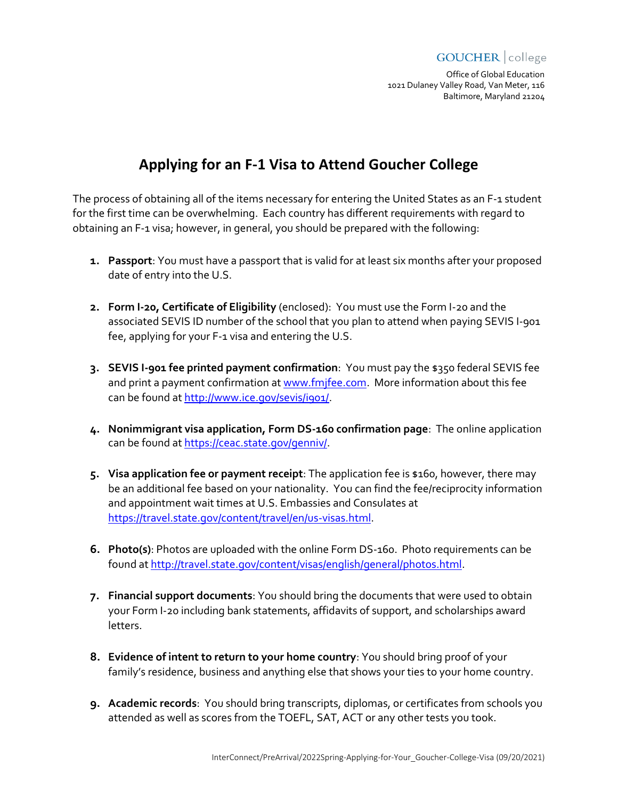#### **GOUCHER** college

Office of Global Education 1021 Dulaney Valley Road, Van Meter, 116 Baltimore, Maryland 21204

# **Applying for an F-1 Visa to Attend Goucher College**

The process of obtaining all of the items necessary for entering the United States as an F-1 student for the first time can be overwhelming. Each country has different requirements with regard to obtaining an F-1 visa; however, in general, you should be prepared with the following:

- **1. Passport**: You must have a passport that is valid for at least six months after your proposed date of entry into the U.S.
- **2. Form I-20, Certificate of Eligibility** (enclosed): You must use the Form I-20 and the associated SEVIS ID number of the school that you plan to attend when paying SEVIS I-901 fee, applying for your F-1 visa and entering the U.S.
- **3. SEVIS I-901 fee printed payment confirmation**: You must pay the \$350 federal SEVIS fee and print a payment confirmation at [www.fmjfee.com.](http://www.fmjfee.com/) More information about this fee can be found at http://www.ice.gov/sevis/i901/.
- **4. Nonimmigrant visa application, Form DS-160 confirmation page**: The online application can be found at https://ceac.state.gov/genniv/.
- **5. Visa application fee or payment receipt**: The application fee is \$160, however, there may be an additional fee based on your nationality. You can find the fee/reciprocity information and appointment wait times at U.S. Embassies and Consulates at <https://travel.state.gov/content/travel/en/us-visas.html>[.](http://travel.state.gov/content/visas/english/study-exchange/student.html)
- **6. Photo(s)**: Photos are uploaded with the online Form DS-160. Photo requirements can be found a[t http://travel.state.gov/content/visas/english/general/photos.html.](http://travel.state.gov/content/visas/english/general/photos.html)
- **7. Financial support documents**: You should bring the documents that were used to obtain your Form I-20 including bank statements, affidavits of support, and scholarships award letters.
- **8. Evidence of intent to return to your home country**: You should bring proof of your family's residence, business and anything else that shows your ties to your home country.
- **9. Academic records**: You should bring transcripts, diplomas, or certificates from schools you attended as well as scores from the TOEFL, SAT, ACT or any other tests you took.